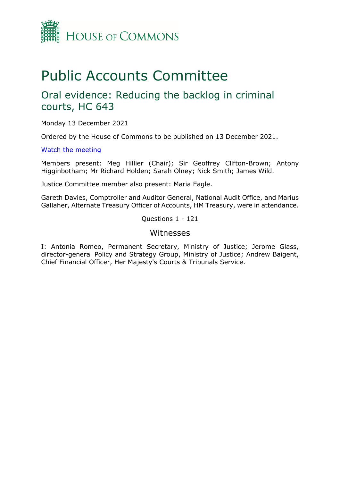

# Public Accounts Committee

### Oral evidence: Reducing the backlog in criminal courts, HC 643

Monday 13 December 2021

Ordered by the House of Commons to be published on 13 December 2021.

### [Watch the meeting](https://parliamentlive.tv/event/index/6c72e8a4-acf5-41de-bc57-5d0fc194ae4f?in=16:15:47)

Members present: Meg Hillier (Chair); Sir Geoffrey Clifton-Brown; Antony Higginbotham; Mr Richard Holden; Sarah Olney; Nick Smith; James Wild.

Justice Committee member also present: Maria Eagle.

Gareth Davies, Comptroller and Auditor General, National Audit Office, and Marius Gallaher, Alternate Treasury Officer of Accounts, HM Treasury, were in attendance.

Questions 1 - 121

### Witnesses

I: Antonia Romeo, Permanent Secretary, Ministry of Justice; Jerome Glass, director-general Policy and Strategy Group, Ministry of Justice; Andrew Baigent, Chief Financial Officer, Her Majesty's Courts & Tribunals Service.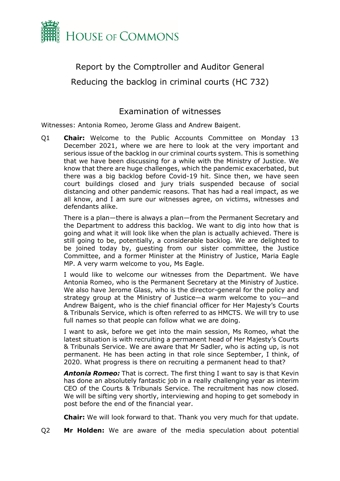

## Report by the Comptroller and Auditor General Reducing the backlog in criminal courts (HC 732)

### Examination of witnesses

Witnesses: Antonia Romeo, Jerome Glass and Andrew Baigent.

Q1 **Chair:** Welcome to the Public Accounts Committee on Monday 13 December 2021, where we are here to look at the very important and serious issue of the backlog in our criminal courts system. This is something that we have been discussing for a while with the Ministry of Justice. We know that there are huge challenges, which the pandemic exacerbated, but there was a big backlog before Covid-19 hit. Since then, we have seen court buildings closed and jury trials suspended because of social distancing and other pandemic reasons. That has had a real impact, as we all know, and I am sure our witnesses agree, on victims, witnesses and defendants alike.

There is a plan—there is always a plan—from the Permanent Secretary and the Department to address this backlog. We want to dig into how that is going and what it will look like when the plan is actually achieved. There is still going to be, potentially, a considerable backlog. We are delighted to be joined today by, guesting from our sister committee, the Justice Committee, and a former Minister at the Ministry of Justice, Maria Eagle MP. A very warm welcome to you, Ms Eagle.

I would like to welcome our witnesses from the Department. We have Antonia Romeo, who is the Permanent Secretary at the Ministry of Justice. We also have Jerome Glass, who is the director-general for the policy and strategy group at the Ministry of Justice—a warm welcome to you—and Andrew Baigent, who is the chief financial officer for Her Majesty's Courts & Tribunals Service, which is often referred to as HMCTS. We will try to use full names so that people can follow what we are doing.

I want to ask, before we get into the main session, Ms Romeo, what the latest situation is with recruiting a permanent head of Her Majesty's Courts & Tribunals Service. We are aware that Mr Sadler, who is acting up, is not permanent. He has been acting in that role since September, I think, of 2020. What progress is there on recruiting a permanent head to that?

*Antonia Romeo:* That is correct. The first thing I want to say is that Kevin has done an absolutely fantastic job in a really challenging year as interim CEO of the Courts & Tribunals Service. The recruitment has now closed. We will be sifting very shortly, interviewing and hoping to get somebody in post before the end of the financial year.

**Chair:** We will look forward to that. Thank you very much for that update.

Q2 **Mr Holden:** We are aware of the media speculation about potential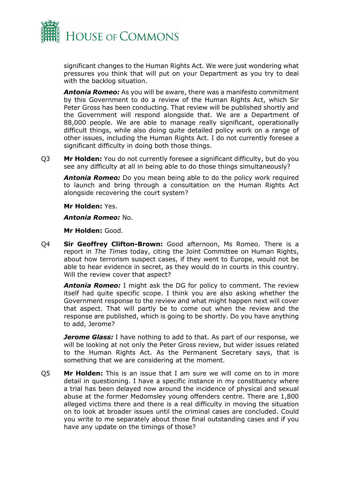

significant changes to the Human Rights Act. We were just wondering what pressures you think that will put on your Department as you try to deal with the backlog situation.

*Antonia Romeo:* As you will be aware, there was a manifesto commitment by this Government to do a review of the Human Rights Act, which Sir Peter Gross has been conducting. That review will be published shortly and the Government will respond alongside that. We are a Department of 88,000 people. We are able to manage really significant, operationally difficult things, while also doing quite detailed policy work on a range of other issues, including the Human Rights Act. I do not currently foresee a significant difficulty in doing both those things.

Q3 **Mr Holden:** You do not currently foresee a significant difficulty, but do you see any difficulty at all in being able to do those things simultaneously?

*Antonia Romeo:* Do you mean being able to do the policy work required to launch and bring through a consultation on the Human Rights Act alongside recovering the court system?

**Mr Holden:** Yes.

*Antonia Romeo:* No.

**Mr Holden:** Good.

Q4 **Sir Geoffrey Clifton-Brown:** Good afternoon, Ms Romeo. There is a report in *The Times* today, citing the Joint Committee on Human Rights, about how terrorism suspect cases, if they went to Europe, would not be able to hear evidence in secret, as they would do in courts in this country. Will the review cover that aspect?

*Antonia Romeo:* I might ask the DG for policy to comment. The review itself had quite specific scope. I think you are also asking whether the Government response to the review and what might happen next will cover that aspect. That will partly be to come out when the review and the response are published, which is going to be shortly. Do you have anything to add, Jerome?

*Jerome Glass:* I have nothing to add to that. As part of our response, we will be looking at not only the Peter Gross review, but wider issues related to the Human Rights Act. As the Permanent Secretary says, that is something that we are considering at the moment.

Q5 **Mr Holden:** This is an issue that I am sure we will come on to in more detail in questioning. I have a specific instance in my constituency where a trial has been delayed now around the incidence of physical and sexual abuse at the former Medomsley young offenders centre. There are 1,800 alleged victims there and there is a real difficulty in moving the situation on to look at broader issues until the criminal cases are concluded. Could you write to me separately about those final outstanding cases and if you have any update on the timings of those?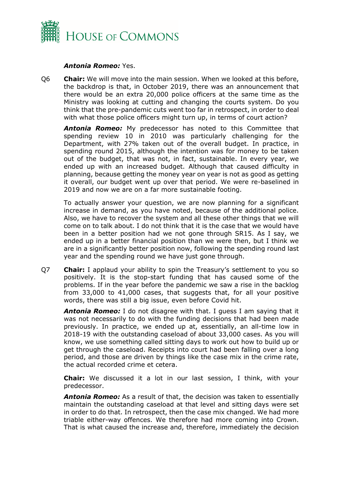

#### *Antonia Romeo:* Yes.

Q6 **Chair:** We will move into the main session. When we looked at this before, the backdrop is that, in October 2019, there was an announcement that there would be an extra 20,000 police officers at the same time as the Ministry was looking at cutting and changing the courts system. Do you think that the pre-pandemic cuts went too far in retrospect, in order to deal with what those police officers might turn up, in terms of court action?

*Antonia Romeo:* My predecessor has noted to this Committee that spending review 10 in 2010 was particularly challenging for the Department, with 27% taken out of the overall budget. In practice, in spending round 2015, although the intention was for money to be taken out of the budget, that was not, in fact, sustainable. In every year, we ended up with an increased budget. Although that caused difficulty in planning, because getting the money year on year is not as good as getting it overall, our budget went up over that period. We were re-baselined in 2019 and now we are on a far more sustainable footing.

To actually answer your question, we are now planning for a significant increase in demand, as you have noted, because of the additional police. Also, we have to recover the system and all these other things that we will come on to talk about. I do not think that it is the case that we would have been in a better position had we not gone through SR15. As I say, we ended up in a better financial position than we were then, but I think we are in a significantly better position now, following the spending round last year and the spending round we have just gone through.

Q7 **Chair:** I applaud your ability to spin the Treasury's settlement to you so positively. It is the stop-start funding that has caused some of the problems. If in the year before the pandemic we saw a rise in the backlog from 33,000 to 41,000 cases, that suggests that, for all your positive words, there was still a big issue, even before Covid hit.

*Antonia Romeo:* I do not disagree with that. I guess I am saying that it was not necessarily to do with the funding decisions that had been made previously. In practice, we ended up at, essentially, an all-time low in 2018-19 with the outstanding caseload of about 33,000 cases. As you will know, we use something called sitting days to work out how to build up or get through the caseload. Receipts into court had been falling over a long period, and those are driven by things like the case mix in the crime rate, the actual recorded crime et cetera.

**Chair:** We discussed it a lot in our last session, I think, with your predecessor.

*Antonia Romeo:* As a result of that, the decision was taken to essentially maintain the outstanding caseload at that level and sitting days were set in order to do that. In retrospect, then the case mix changed. We had more triable either-way offences. We therefore had more coming into Crown. That is what caused the increase and, therefore, immediately the decision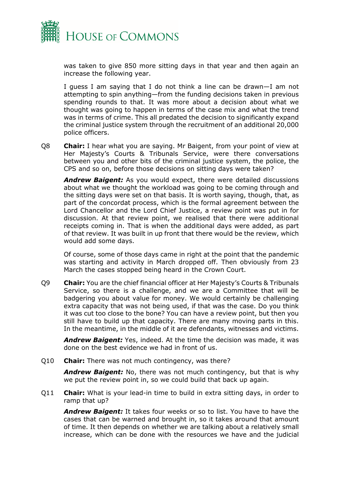

was taken to give 850 more sitting days in that year and then again an increase the following year.

I guess I am saying that I do not think a line can be drawn—I am not attempting to spin anything—from the funding decisions taken in previous spending rounds to that. It was more about a decision about what we thought was going to happen in terms of the case mix and what the trend was in terms of crime. This all predated the decision to significantly expand the criminal justice system through the recruitment of an additional 20,000 police officers.

Q8 **Chair:** I hear what you are saying. Mr Baigent, from your point of view at Her Majesty's Courts & Tribunals Service, were there conversations between you and other bits of the criminal justice system, the police, the CPS and so on, before those decisions on sitting days were taken?

*Andrew Baigent:* As you would expect, there were detailed discussions about what we thought the workload was going to be coming through and the sitting days were set on that basis. It is worth saying, though, that, as part of the concordat process, which is the formal agreement between the Lord Chancellor and the Lord Chief Justice, a review point was put in for discussion. At that review point, we realised that there were additional receipts coming in. That is when the additional days were added, as part of that review. It was built in up front that there would be the review, which would add some days.

Of course, some of those days came in right at the point that the pandemic was starting and activity in March dropped off. Then obviously from 23 March the cases stopped being heard in the Crown Court.

Q9 **Chair:** You are the chief financial officer at Her Majesty's Courts & Tribunals Service, so there is a challenge, and we are a Committee that will be badgering you about value for money. We would certainly be challenging extra capacity that was not being used, if that was the case. Do you think it was cut too close to the bone? You can have a review point, but then you still have to build up that capacity. There are many moving parts in this. In the meantime, in the middle of it are defendants, witnesses and victims.

*Andrew Baigent:* Yes, indeed. At the time the decision was made, it was done on the best evidence we had in front of us.

Q10 **Chair:** There was not much contingency, was there?

*Andrew Baigent:* No, there was not much contingency, but that is why we put the review point in, so we could build that back up again.

Q11 **Chair:** What is your lead-in time to build in extra sitting days, in order to ramp that up?

*Andrew Baigent:* It takes four weeks or so to list. You have to have the cases that can be warned and brought in, so it takes around that amount of time. It then depends on whether we are talking about a relatively small increase, which can be done with the resources we have and the judicial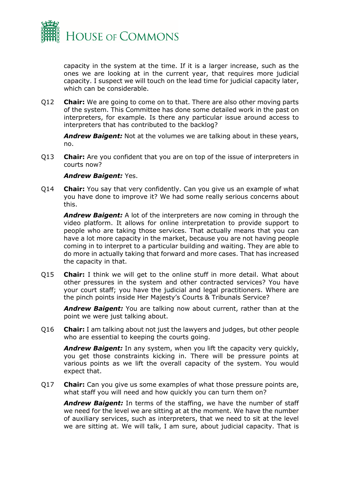

capacity in the system at the time. If it is a larger increase, such as the ones we are looking at in the current year, that requires more judicial capacity. I suspect we will touch on the lead time for judicial capacity later, which can be considerable.

Q12 **Chair:** We are going to come on to that. There are also other moving parts of the system. This Committee has done some detailed work in the past on interpreters, for example. Is there any particular issue around access to interpreters that has contributed to the backlog?

*Andrew Baigent:* Not at the volumes we are talking about in these years, no.

Q13 **Chair:** Are you confident that you are on top of the issue of interpreters in courts now?

### *Andrew Baigent:* Yes.

Q14 **Chair:** You say that very confidently. Can you give us an example of what you have done to improve it? We had some really serious concerns about this.

*Andrew Baigent:* A lot of the interpreters are now coming in through the video platform. It allows for online interpretation to provide support to people who are taking those services. That actually means that you can have a lot more capacity in the market, because you are not having people coming in to interpret to a particular building and waiting. They are able to do more in actually taking that forward and more cases. That has increased the capacity in that.

Q15 **Chair:** I think we will get to the online stuff in more detail. What about other pressures in the system and other contracted services? You have your court staff; you have the judicial and legal practitioners. Where are the pinch points inside Her Majesty's Courts & Tribunals Service?

*Andrew Baigent:* You are talking now about current, rather than at the point we were just talking about.

Q16 **Chair:** I am talking about not just the lawyers and judges, but other people who are essential to keeping the courts going.

*Andrew Baigent:* In any system, when you lift the capacity very quickly, you get those constraints kicking in. There will be pressure points at various points as we lift the overall capacity of the system. You would expect that.

Q17 **Chair:** Can you give us some examples of what those pressure points are, what staff you will need and how quickly you can turn them on?

*Andrew Baigent:* In terms of the staffing, we have the number of staff we need for the level we are sitting at at the moment. We have the number of auxiliary services, such as interpreters, that we need to sit at the level we are sitting at. We will talk, I am sure, about judicial capacity. That is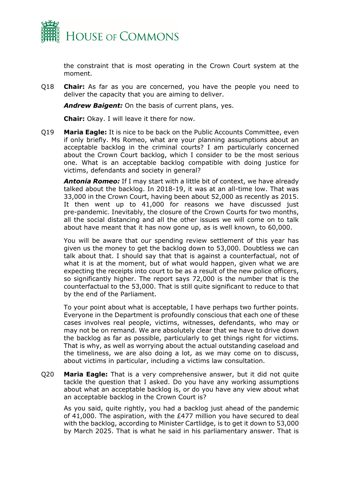

the constraint that is most operating in the Crown Court system at the moment.

Q18 **Chair:** As far as you are concerned, you have the people you need to deliver the capacity that you are aiming to deliver.

*Andrew Baigent:* On the basis of current plans, yes.

**Chair:** Okay. I will leave it there for now.

Q19 **Maria Eagle:** It is nice to be back on the Public Accounts Committee, even if only briefly. Ms Romeo, what are your planning assumptions about an acceptable backlog in the criminal courts? I am particularly concerned about the Crown Court backlog, which I consider to be the most serious one. What is an acceptable backlog compatible with doing justice for victims, defendants and society in general?

*Antonia Romeo:* If I may start with a little bit of context, we have already talked about the backlog. In 2018-19, it was at an all-time low. That was 33,000 in the Crown Court, having been about 52,000 as recently as 2015. It then went up to 41,000 for reasons we have discussed just pre-pandemic. Inevitably, the closure of the Crown Courts for two months, all the social distancing and all the other issues we will come on to talk about have meant that it has now gone up, as is well known, to 60,000.

You will be aware that our spending review settlement of this year has given us the money to get the backlog down to 53,000. Doubtless we can talk about that. I should say that that is against a counterfactual, not of what it is at the moment, but of what would happen, given what we are expecting the receipts into court to be as a result of the new police officers, so significantly higher. The report says 72,000 is the number that is the counterfactual to the 53,000. That is still quite significant to reduce to that by the end of the Parliament.

To your point about what is acceptable, I have perhaps two further points. Everyone in the Department is profoundly conscious that each one of these cases involves real people, victims, witnesses, defendants, who may or may not be on remand. We are absolutely clear that we have to drive down the backlog as far as possible, particularly to get things right for victims. That is why, as well as worrying about the actual outstanding caseload and the timeliness, we are also doing a lot, as we may come on to discuss, about victims in particular, including a victims law consultation.

Q20 **Maria Eagle:** That is a very comprehensive answer, but it did not quite tackle the question that I asked. Do you have any working assumptions about what an acceptable backlog is, or do you have any view about what an acceptable backlog in the Crown Court is?

As you said, quite rightly, you had a backlog just ahead of the pandemic of 41,000. The aspiration, with the £477 million you have secured to deal with the backlog, according to Minister Cartlidge, is to get it down to 53,000 by March 2025. That is what he said in his parliamentary answer. That is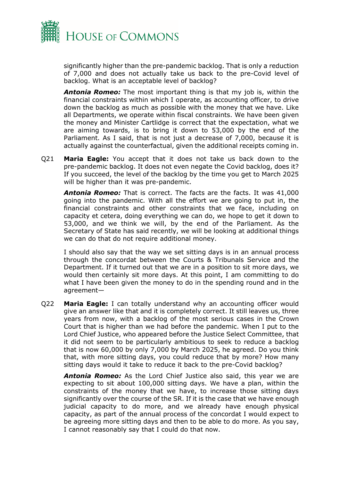

significantly higher than the pre-pandemic backlog. That is only a reduction of 7,000 and does not actually take us back to the pre-Covid level of backlog. What is an acceptable level of backlog?

*Antonia Romeo:* The most important thing is that my job is, within the financial constraints within which I operate, as accounting officer, to drive down the backlog as much as possible with the money that we have. Like all Departments, we operate within fiscal constraints. We have been given the money and Minister Cartlidge is correct that the expectation, what we are aiming towards, is to bring it down to 53,000 by the end of the Parliament. As I said, that is not just a decrease of 7,000, because it is actually against the counterfactual, given the additional receipts coming in.

Q21 **Maria Eagle:** You accept that it does not take us back down to the pre-pandemic backlog. It does not even negate the Covid backlog, does it? If you succeed, the level of the backlog by the time you get to March 2025 will be higher than it was pre-pandemic.

*Antonia Romeo:* That is correct. The facts are the facts. It was 41,000 going into the pandemic. With all the effort we are going to put in, the financial constraints and other constraints that we face, including on capacity et cetera, doing everything we can do, we hope to get it down to 53,000, and we think we will, by the end of the Parliament. As the Secretary of State has said recently, we will be looking at additional things we can do that do not require additional money.

I should also say that the way we set sitting days is in an annual process through the concordat between the Courts & Tribunals Service and the Department. If it turned out that we are in a position to sit more days, we would then certainly sit more days. At this point, I am committing to do what I have been given the money to do in the spending round and in the agreement—

Q22 **Maria Eagle:** I can totally understand why an accounting officer would give an answer like that and it is completely correct. It still leaves us, three years from now, with a backlog of the most serious cases in the Crown Court that is higher than we had before the pandemic. When I put to the Lord Chief Justice, who appeared before the Justice Select Committee, that it did not seem to be particularly ambitious to seek to reduce a backlog that is now 60,000 by only 7,000 by March 2025, he agreed. Do you think that, with more sitting days, you could reduce that by more? How many sitting days would it take to reduce it back to the pre-Covid backlog?

*Antonia Romeo:* As the Lord Chief Justice also said, this year we are expecting to sit about 100,000 sitting days. We have a plan, within the constraints of the money that we have, to increase those sitting days significantly over the course of the SR. If it is the case that we have enough judicial capacity to do more, and we already have enough physical capacity, as part of the annual process of the concordat I would expect to be agreeing more sitting days and then to be able to do more. As you say, I cannot reasonably say that I could do that now.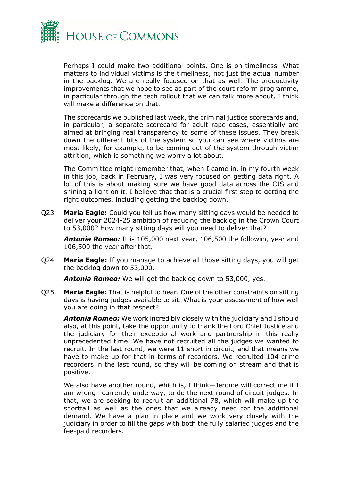

Perhaps I could make two additional points. One is on timeliness. What matters to individual victims is the timeliness, not just the actual number in the backlog. We are really focused on that as well. The productivity improvements that we hope to see as part of the court reform programme, in particular through the tech rollout that we can talk more about, I think will make a difference on that.

The scorecards we published last week, the criminal justice scorecards and, in particular, a separate scorecard for adult rape cases, essentially are aimed at bringing real transparency to some of these issues. They break down the different bits of the system so you can see where victims are most likely, for example, to be coming out of the system through victim attrition, which is something we worry a lot about.

The Committee might remember that, when I came in, in my fourth week in this job, back in February, I was very focused on getting data right. A lot of this is about making sure we have good data across the CJS and shining a light on it. I believe that that is a crucial first step to getting the right outcomes, including getting the backlog down.

Q23 **Maria Eagle:** Could you tell us how many sitting days would be needed to deliver your 2024-25 ambition of reducing the backlog in the Crown Court to 53,000? How many sitting days will you need to deliver that?

*Antonia Romeo:* It is 105,000 next year, 106,500 the following year and 106,500 the year after that.

Q24 **Maria Eagle:** If you manage to achieve all those sitting days, you will get the backlog down to 53,000.

*Antonia Romeo:* We will get the backlog down to 53,000, yes.

Q25 **Maria Eagle:** That is helpful to hear. One of the other constraints on sitting days is having judges available to sit. What is your assessment of how well you are doing in that respect?

*Antonia Romeo:* We work incredibly closely with the judiciary and I should also, at this point, take the opportunity to thank the Lord Chief Justice and the judiciary for their exceptional work and partnership in this really unprecedented time. We have not recruited all the judges we wanted to recruit. In the last round, we were 11 short in circuit, and that means we have to make up for that in terms of recorders. We recruited 104 crime recorders in the last round, so they will be coming on stream and that is positive.

We also have another round, which is, I think-Jerome will correct me if I am wrong—currently underway, to do the next round of circuit judges. In that, we are seeking to recruit an additional 78, which will make up the shortfall as well as the ones that we already need for the additional demand. We have a plan in place and we work very closely with the judiciary in order to fill the gaps with both the fully salaried judges and the fee-paid recorders.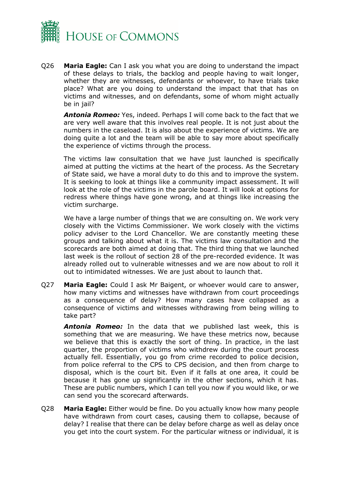

Q26 **Maria Eagle:** Can I ask you what you are doing to understand the impact of these delays to trials, the backlog and people having to wait longer, whether they are witnesses, defendants or whoever, to have trials take place? What are you doing to understand the impact that that has on victims and witnesses, and on defendants, some of whom might actually be in jail?

*Antonia Romeo:* Yes, indeed. Perhaps I will come back to the fact that we are very well aware that this involves real people. It is not just about the numbers in the caseload. It is also about the experience of victims. We are doing quite a lot and the team will be able to say more about specifically the experience of victims through the process.

The victims law consultation that we have just launched is specifically aimed at putting the victims at the heart of the process. As the Secretary of State said, we have a moral duty to do this and to improve the system. It is seeking to look at things like a community impact assessment. It will look at the role of the victims in the parole board. It will look at options for redress where things have gone wrong, and at things like increasing the victim surcharge.

We have a large number of things that we are consulting on. We work very closely with the Victims Commissioner. We work closely with the victims policy adviser to the Lord Chancellor. We are constantly meeting these groups and talking about what it is. The victims law consultation and the scorecards are both aimed at doing that. The third thing that we launched last week is the rollout of section 28 of the pre-recorded evidence. It was already rolled out to vulnerable witnesses and we are now about to roll it out to intimidated witnesses. We are just about to launch that.

Q27 **Maria Eagle:** Could I ask Mr Baigent, or whoever would care to answer, how many victims and witnesses have withdrawn from court proceedings as a consequence of delay? How many cases have collapsed as a consequence of victims and witnesses withdrawing from being willing to take part?

*Antonia Romeo:* In the data that we published last week, this is something that we are measuring. We have these metrics now, because we believe that this is exactly the sort of thing. In practice, in the last quarter, the proportion of victims who withdrew during the court process actually fell. Essentially, you go from crime recorded to police decision, from police referral to the CPS to CPS decision, and then from charge to disposal, which is the court bit. Even if it falls at one area, it could be because it has gone up significantly in the other sections, which it has. These are public numbers, which I can tell you now if you would like, or we can send you the scorecard afterwards.

Q28 **Maria Eagle:** Either would be fine. Do you actually know how many people have withdrawn from court cases, causing them to collapse, because of delay? I realise that there can be delay before charge as well as delay once you get into the court system. For the particular witness or individual, it is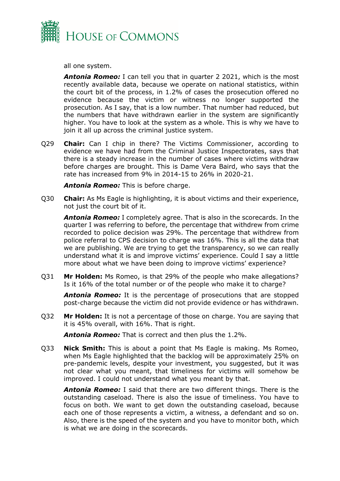

all one system.

*Antonia Romeo:* I can tell you that in quarter 2 2021, which is the most recently available data, because we operate on national statistics, within the court bit of the process, in 1.2% of cases the prosecution offered no evidence because the victim or witness no longer supported the prosecution. As I say, that is a low number. That number had reduced, but the numbers that have withdrawn earlier in the system are significantly higher. You have to look at the system as a whole. This is why we have to join it all up across the criminal justice system.

Q29 **Chair:** Can I chip in there? The Victims Commissioner, according to evidence we have had from the Criminal Justice Inspectorates, says that there is a steady increase in the number of cases where victims withdraw before charges are brought. This is Dame Vera Baird, who says that the rate has increased from 9% in 2014-15 to 26% in 2020-21.

*Antonia Romeo:* This is before charge.

Q30 **Chair:** As Ms Eagle is highlighting, it is about victims and their experience, not just the court bit of it.

*Antonia Romeo:* I completely agree. That is also in the scorecards. In the quarter I was referring to before, the percentage that withdrew from crime recorded to police decision was 29%. The percentage that withdrew from police referral to CPS decision to charge was 16%. This is all the data that we are publishing. We are trying to get the transparency, so we can really understand what it is and improve victims' experience. Could I say a little more about what we have been doing to improve victims' experience?

Q31 **Mr Holden:** Ms Romeo, is that 29% of the people who make allegations? Is it 16% of the total number or of the people who make it to charge?

*Antonia Romeo:* It is the percentage of prosecutions that are stopped post-charge because the victim did not provide evidence or has withdrawn.

Q32 **Mr Holden:** It is not a percentage of those on charge. You are saying that it is 45% overall, with 16%. That is right.

*Antonia Romeo:* That is correct and then plus the 1.2%.

Q33 **Nick Smith:** This is about a point that Ms Eagle is making. Ms Romeo, when Ms Eagle highlighted that the backlog will be approximately 25% on pre-pandemic levels, despite your investment, you suggested, but it was not clear what you meant, that timeliness for victims will somehow be improved. I could not understand what you meant by that.

*Antonia Romeo:* I said that there are two different things. There is the outstanding caseload. There is also the issue of timeliness. You have to focus on both. We want to get down the outstanding caseload, because each one of those represents a victim, a witness, a defendant and so on. Also, there is the speed of the system and you have to monitor both, which is what we are doing in the scorecards.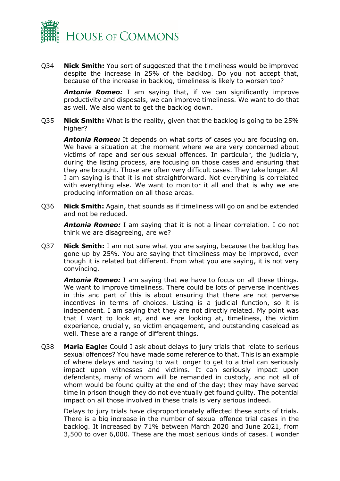

Q34 **Nick Smith:** You sort of suggested that the timeliness would be improved despite the increase in 25% of the backlog. Do you not accept that, because of the increase in backlog, timeliness is likely to worsen too?

*Antonia Romeo:* I am saying that, if we can significantly improve productivity and disposals, we can improve timeliness. We want to do that as well. We also want to get the backlog down.

Q35 **Nick Smith:** What is the reality, given that the backlog is going to be 25% higher?

*Antonia Romeo:* It depends on what sorts of cases you are focusing on. We have a situation at the moment where we are very concerned about victims of rape and serious sexual offences. In particular, the judiciary, during the listing process, are focusing on those cases and ensuring that they are brought. Those are often very difficult cases. They take longer. All I am saying is that it is not straightforward. Not everything is correlated with everything else. We want to monitor it all and that is why we are producing information on all those areas.

Q36 **Nick Smith:** Again, that sounds as if timeliness will go on and be extended and not be reduced.

*Antonia Romeo:* I am saying that it is not a linear correlation. I do not think we are disagreeing, are we?

Q37 **Nick Smith:** I am not sure what you are saying, because the backlog has gone up by 25%. You are saying that timeliness may be improved, even though it is related but different. From what you are saying, it is not very convincing.

*Antonia Romeo:* I am saying that we have to focus on all these things. We want to improve timeliness. There could be lots of perverse incentives in this and part of this is about ensuring that there are not perverse incentives in terms of choices. Listing is a judicial function, so it is independent. I am saying that they are not directly related. My point was that I want to look at, and we are looking at, timeliness, the victim experience, crucially, so victim engagement, and outstanding caseload as well. These are a range of different things.

Q38 **Maria Eagle:** Could I ask about delays to jury trials that relate to serious sexual offences? You have made some reference to that. This is an example of where delays and having to wait longer to get to a trial can seriously impact upon witnesses and victims. It can seriously impact upon defendants, many of whom will be remanded in custody, and not all of whom would be found guilty at the end of the day; they may have served time in prison though they do not eventually get found guilty. The potential impact on all those involved in these trials is very serious indeed.

Delays to jury trials have disproportionately affected these sorts of trials. There is a big increase in the number of sexual offence trial cases in the backlog. It increased by 71% between March 2020 and June 2021, from 3,500 to over 6,000. These are the most serious kinds of cases. I wonder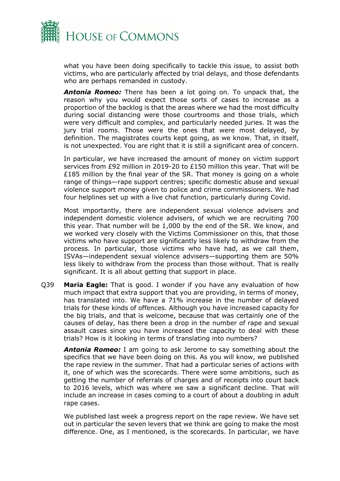

what you have been doing specifically to tackle this issue, to assist both victims, who are particularly affected by trial delays, and those defendants who are perhaps remanded in custody.

*Antonia Romeo:* There has been a lot going on. To unpack that, the reason why you would expect those sorts of cases to increase as a proportion of the backlog is that the areas where we had the most difficulty during social distancing were those courtrooms and those trials, which were very difficult and complex, and particularly needed juries. It was the jury trial rooms. Those were the ones that were most delayed, by definition. The magistrates courts kept going, as we know. That, in itself, is not unexpected. You are right that it is still a significant area of concern.

In particular, we have increased the amount of money on victim support services from £92 million in 2019-20 to £150 million this year. That will be £185 million by the final year of the SR. That money is going on a whole range of things—rape support centres; specific domestic abuse and sexual violence support money given to police and crime commissioners. We had four helplines set up with a live chat function, particularly during Covid.

Most importantly, there are independent sexual violence advisers and independent domestic violence advisers, of which we are recruiting 700 this year. That number will be 1,000 by the end of the SR. We know, and we worked very closely with the Victims Commissioner on this, that those victims who have support are significantly less likely to withdraw from the process. In particular, those victims who have had, as we call them, ISVAs—independent sexual violence advisers—supporting them are 50% less likely to withdraw from the process than those without. That is really significant. It is all about getting that support in place.

Q39 **Maria Eagle:** That is good. I wonder if you have any evaluation of how much impact that extra support that you are providing, in terms of money, has translated into. We have a 71% increase in the number of delayed trials for these kinds of offences. Although you have increased capacity for the big trials, and that is welcome, because that was certainly one of the causes of delay, has there been a drop in the number of rape and sexual assault cases since you have increased the capacity to deal with these trials? How is it looking in terms of translating into numbers?

*Antonia Romeo:* I am going to ask Jerome to say something about the specifics that we have been doing on this. As you will know, we published the rape review in the summer. That had a particular series of actions with it, one of which was the scorecards. There were some ambitions, such as getting the number of referrals of charges and of receipts into court back to 2016 levels, which was where we saw a significant decline. That will include an increase in cases coming to a court of about a doubling in adult rape cases.

We published last week a progress report on the rape review. We have set out in particular the seven levers that we think are going to make the most difference. One, as I mentioned, is the scorecards. In particular, we have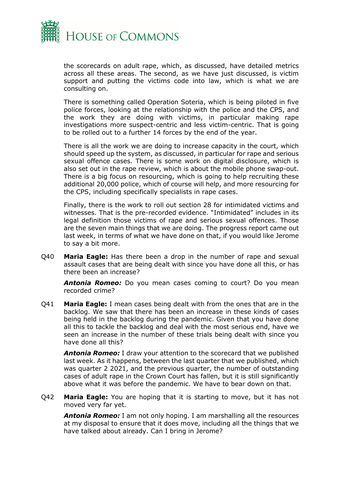

the scorecards on adult rape, which, as discussed, have detailed metrics across all these areas. The second, as we have just discussed, is victim support and putting the victims code into law, which is what we are consulting on.

There is something called Operation Soteria, which is being piloted in five police forces, looking at the relationship with the police and the CPS, and the work they are doing with victims, in particular making rape investigations more suspect-centric and less victim-centric. That is going to be rolled out to a further 14 forces by the end of the year.

There is all the work we are doing to increase capacity in the court, which should speed up the system, as discussed, in particular for rape and serious sexual offence cases. There is some work on digital disclosure, which is also set out in the rape review, which is about the mobile phone swap-out. There is a big focus on resourcing, which is going to help recruiting these additional 20,000 police, which of course will help, and more resourcing for the CPS, including specifically specialists in rape cases.

Finally, there is the work to roll out section 28 for intimidated victims and witnesses. That is the pre-recorded evidence. "Intimidated" includes in its legal definition those victims of rape and serious sexual offences. Those are the seven main things that we are doing. The progress report came out last week, in terms of what we have done on that, if you would like Jerome to say a bit more.

Q40 **Maria Eagle:** Has there been a drop in the number of rape and sexual assault cases that are being dealt with since you have done all this, or has there been an increase?

*Antonia Romeo:* Do you mean cases coming to court? Do you mean recorded crime?

Q41 **Maria Eagle:** I mean cases being dealt with from the ones that are in the backlog. We saw that there has been an increase in these kinds of cases being held in the backlog during the pandemic. Given that you have done all this to tackle the backlog and deal with the most serious end, have we seen an increase in the number of these trials being dealt with since you have done all this?

*Antonia Romeo:* I draw your attention to the scorecard that we published last week. As it happens, between the last quarter that we published, which was quarter 2 2021, and the previous quarter, the number of outstanding cases of adult rape in the Crown Court has fallen, but it is still significantly above what it was before the pandemic. We have to bear down on that.

Q42 **Maria Eagle:** You are hoping that it is starting to move, but it has not moved very far yet.

*Antonia Romeo:* I am not only hoping. I am marshalling all the resources at my disposal to ensure that it does move, including all the things that we have talked about already. Can I bring in Jerome?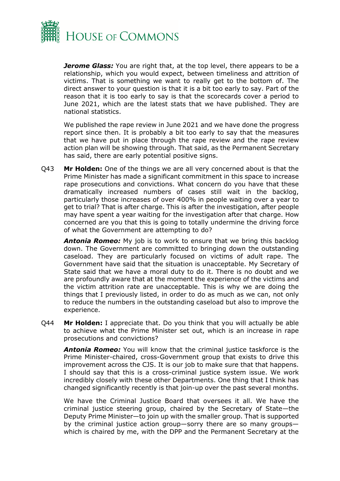

*Jerome Glass:* You are right that, at the top level, there appears to be a relationship, which you would expect, between timeliness and attrition of victims. That is something we want to really get to the bottom of. The direct answer to your question is that it is a bit too early to say. Part of the reason that it is too early to say is that the scorecards cover a period to June 2021, which are the latest stats that we have published. They are national statistics.

We published the rape review in June 2021 and we have done the progress report since then. It is probably a bit too early to say that the measures that we have put in place through the rape review and the rape review action plan will be showing through. That said, as the Permanent Secretary has said, there are early potential positive signs.

Q43 **Mr Holden:** One of the things we are all very concerned about is that the Prime Minister has made a significant commitment in this space to increase rape prosecutions and convictions. What concern do you have that these dramatically increased numbers of cases still wait in the backlog, particularly those increases of over 400% in people waiting over a year to get to trial? That is after charge. This is after the investigation, after people may have spent a year waiting for the investigation after that charge. How concerned are you that this is going to totally undermine the driving force of what the Government are attempting to do?

*Antonia Romeo:* My job is to work to ensure that we bring this backlog down. The Government are committed to bringing down the outstanding caseload. They are particularly focused on victims of adult rape. The Government have said that the situation is unacceptable. My Secretary of State said that we have a moral duty to do it. There is no doubt and we are profoundly aware that at the moment the experience of the victims and the victim attrition rate are unacceptable. This is why we are doing the things that I previously listed, in order to do as much as we can, not only to reduce the numbers in the outstanding caseload but also to improve the experience.

Q44 **Mr Holden:** I appreciate that. Do you think that you will actually be able to achieve what the Prime Minister set out, which is an increase in rape prosecutions and convictions?

*Antonia Romeo:* You will know that the criminal justice taskforce is the Prime Minister-chaired, cross-Government group that exists to drive this improvement across the CJS. It is our job to make sure that that happens. I should say that this is a cross-criminal justice system issue. We work incredibly closely with these other Departments. One thing that I think has changed significantly recently is that join-up over the past several months.

We have the Criminal Justice Board that oversees it all. We have the criminal justice steering group, chaired by the Secretary of State—the Deputy Prime Minister—to join up with the smaller group. That is supported by the criminal justice action group—sorry there are so many groups which is chaired by me, with the DPP and the Permanent Secretary at the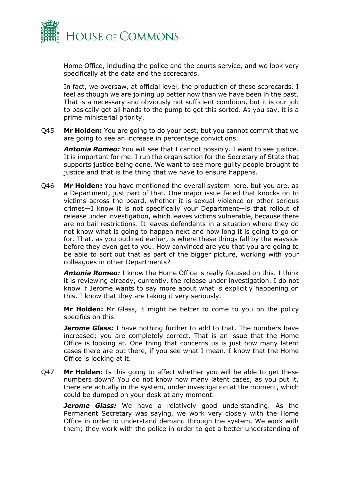

Home Office, including the police and the courts service, and we look very specifically at the data and the scorecards.

In fact, we oversaw, at official level, the production of these scorecards. I feel as though we are joining up better now than we have been in the past. That is a necessary and obviously not sufficient condition, but it is our job to basically get all hands to the pump to get this sorted. As you say, it is a prime ministerial priority.

Q45 **Mr Holden:** You are going to do your best, but you cannot commit that we are going to see an increase in percentage convictions.

*Antonia Romeo:* You will see that I cannot possibly. I want to see justice. It is important for me. I run the organisation for the Secretary of State that supports justice being done. We want to see more guilty people brought to justice and that is the thing that we have to ensure happens.

Q46 **Mr Holden:** You have mentioned the overall system here, but you are, as a Department, just part of that. One major issue faced that knocks on to victims across the board, whether it is sexual violence or other serious crimes—I know it is not specifically your Department—is that rollout of release under investigation, which leaves victims vulnerable, because there are no bail restrictions. It leaves defendants in a situation where they do not know what is going to happen next and how long it is going to go on for. That, as you outlined earlier, is where these things fall by the wayside before they even get to you. How convinced are you that you are going to be able to sort out that as part of the bigger picture, working with your colleagues in other Departments?

*Antonia Romeo:* I know the Home Office is really focused on this. I think it is reviewing already, currently, the release under investigation. I do not know if Jerome wants to say more about what is explicitly happening on this. I know that they are taking it very seriously.

**Mr Holden:** Mr Glass, it might be better to come to you on the policy specifics on this.

*Jerome Glass:* I have nothing further to add to that. The numbers have increased; you are completely correct. That is an issue that the Home Office is looking at. One thing that concerns us is just how many latent cases there are out there, if you see what I mean. I know that the Home Office is looking at it.

Q47 **Mr Holden:** Is this going to affect whether you will be able to get these numbers down? You do not know how many latent cases, as you put it, there are actually in the system, under investigation at the moment, which could be dumped on your desk at any moment.

*Jerome Glass:* We have a relatively good understanding. As the Permanent Secretary was saying, we work very closely with the Home Office in order to understand demand through the system. We work with them; they work with the police in order to get a better understanding of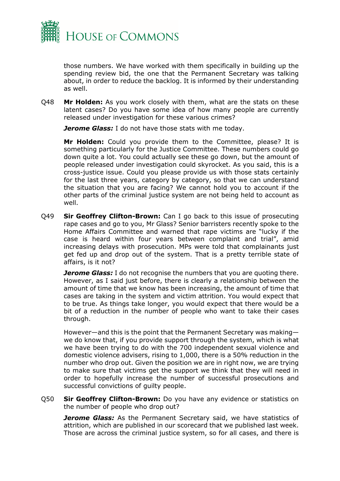

those numbers. We have worked with them specifically in building up the spending review bid, the one that the Permanent Secretary was talking about, in order to reduce the backlog. It is informed by their understanding as well.

Q48 **Mr Holden:** As you work closely with them, what are the stats on these latent cases? Do you have some idea of how many people are currently released under investigation for these various crimes?

*Jerome Glass:* I do not have those stats with me today.

**Mr Holden:** Could you provide them to the Committee, please? It is something particularly for the Justice Committee. These numbers could go down quite a lot. You could actually see these go down, but the amount of people released under investigation could skyrocket. As you said, this is a cross-justice issue. Could you please provide us with those stats certainly for the last three years, category by category, so that we can understand the situation that you are facing? We cannot hold you to account if the other parts of the criminal justice system are not being held to account as well.

Q49 **Sir Geoffrey Clifton-Brown:** Can I go back to this issue of prosecuting rape cases and go to you, Mr Glass? Senior barristers recently spoke to the Home Affairs Committee and warned that rape victims are "lucky if the case is heard within four years between complaint and trial", amid increasing delays with prosecution. MPs were told that complainants just get fed up and drop out of the system. That is a pretty terrible state of affairs, is it not?

*Jerome Glass:* I do not recognise the numbers that you are quoting there. However, as I said just before, there is clearly a relationship between the amount of time that we know has been increasing, the amount of time that cases are taking in the system and victim attrition. You would expect that to be true. As things take longer, you would expect that there would be a bit of a reduction in the number of people who want to take their cases through.

However—and this is the point that the Permanent Secretary was making we do know that, if you provide support through the system, which is what we have been trying to do with the 700 independent sexual violence and domestic violence advisers, rising to 1,000, there is a 50% reduction in the number who drop out. Given the position we are in right now, we are trying to make sure that victims get the support we think that they will need in order to hopefully increase the number of successful prosecutions and successful convictions of guilty people.

Q50 **Sir Geoffrey Clifton-Brown:** Do you have any evidence or statistics on the number of people who drop out?

*Jerome Glass:* As the Permanent Secretary said, we have statistics of attrition, which are published in our scorecard that we published last week. Those are across the criminal justice system, so for all cases, and there is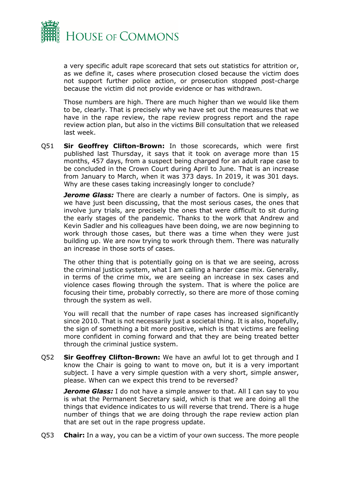

a very specific adult rape scorecard that sets out statistics for attrition or, as we define it, cases where prosecution closed because the victim does not support further police action, or prosecution stopped post-charge because the victim did not provide evidence or has withdrawn.

Those numbers are high. There are much higher than we would like them to be, clearly. That is precisely why we have set out the measures that we have in the rape review, the rape review progress report and the rape review action plan, but also in the victims Bill consultation that we released last week.

Q51 **Sir Geoffrey Clifton-Brown:** In those scorecards, which were first published last Thursday, it says that it took on average more than 15 months, 457 days, from a suspect being charged for an adult rape case to be concluded in the Crown Court during April to June. That is an increase from January to March, when it was 373 days. In 2019, it was 301 days. Why are these cases taking increasingly longer to conclude?

*Jerome Glass:* There are clearly a number of factors. One is simply, as we have just been discussing, that the most serious cases, the ones that involve jury trials, are precisely the ones that were difficult to sit during the early stages of the pandemic. Thanks to the work that Andrew and Kevin Sadler and his colleagues have been doing, we are now beginning to work through those cases, but there was a time when they were just building up. We are now trying to work through them. There was naturally an increase in those sorts of cases.

The other thing that is potentially going on is that we are seeing, across the criminal justice system, what I am calling a harder case mix. Generally, in terms of the crime mix, we are seeing an increase in sex cases and violence cases flowing through the system. That is where the police are focusing their time, probably correctly, so there are more of those coming through the system as well.

You will recall that the number of rape cases has increased significantly since 2010. That is not necessarily just a societal thing. It is also, hopefully, the sign of something a bit more positive, which is that victims are feeling more confident in coming forward and that they are being treated better through the criminal justice system.

Q52 **Sir Geoffrey Clifton-Brown:** We have an awful lot to get through and I know the Chair is going to want to move on, but it is a very important subject. I have a very simple question with a very short, simple answer, please. When can we expect this trend to be reversed?

*Jerome Glass:* I do not have a simple answer to that. All I can say to you is what the Permanent Secretary said, which is that we are doing all the things that evidence indicates to us will reverse that trend. There is a huge number of things that we are doing through the rape review action plan that are set out in the rape progress update.

Q53 **Chair:** In a way, you can be a victim of your own success. The more people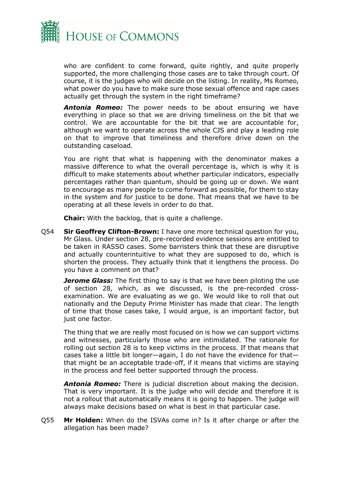

who are confident to come forward, quite rightly, and quite properly supported, the more challenging those cases are to take through court. Of course, it is the judges who will decide on the listing. In reality, Ms Romeo, what power do you have to make sure those sexual offence and rape cases actually get through the system in the right timeframe?

*Antonia Romeo:* The power needs to be about ensuring we have everything in place so that we are driving timeliness on the bit that we control. We are accountable for the bit that we are accountable for, although we want to operate across the whole CJS and play a leading role on that to improve that timeliness and therefore drive down on the outstanding caseload.

You are right that what is happening with the denominator makes a massive difference to what the overall percentage is, which is why it is difficult to make statements about whether particular indicators, especially percentages rather than quantum, should be going up or down. We want to encourage as many people to come forward as possible, for them to stay in the system and for justice to be done. That means that we have to be operating at all these levels in order to do that.

**Chair:** With the backlog, that is quite a challenge.

Q54 **Sir Geoffrey Clifton-Brown:** I have one more technical question for you, Mr Glass. Under section 28, pre-recorded evidence sessions are entitled to be taken in RASSO cases. Some barristers think that these are disruptive and actually counterintuitive to what they are supposed to do, which is shorten the process. They actually think that it lengthens the process. Do you have a comment on that?

*Jerome Glass:* The first thing to say is that we have been piloting the use of section 28, which, as we discussed, is the pre-recorded crossexamination. We are evaluating as we go. We would like to roll that out nationally and the Deputy Prime Minister has made that clear. The length of time that those cases take, I would argue, is an important factor, but just one factor.

The thing that we are really most focused on is how we can support victims and witnesses, particularly those who are intimidated. The rationale for rolling out section 28 is to keep victims in the process. If that means that cases take a little bit longer—again, I do not have the evidence for that that might be an acceptable trade-off, if it means that victims are staying in the process and feel better supported through the process.

*Antonia Romeo:* There is judicial discretion about making the decision. That is very important. It is the judge who will decide and therefore it is not a rollout that automatically means it is going to happen. The judge will always make decisions based on what is best in that particular case.

Q55 **Mr Holden:** When do the ISVAs come in? Is it after charge or after the allegation has been made?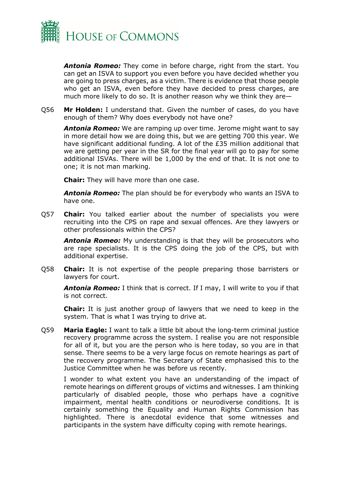

*Antonia Romeo:* They come in before charge, right from the start. You can get an ISVA to support you even before you have decided whether you are going to press charges, as a victim. There is evidence that those people who get an ISVA, even before they have decided to press charges, are much more likely to do so. It is another reason why we think they are—

Q56 **Mr Holden:** I understand that. Given the number of cases, do you have enough of them? Why does everybody not have one?

*Antonia Romeo:* We are ramping up over time. Jerome might want to say in more detail how we are doing this, but we are getting 700 this year. We have significant additional funding. A lot of the £35 million additional that we are getting per year in the SR for the final year will go to pay for some additional ISVAs. There will be 1,000 by the end of that. It is not one to one; it is not man marking.

**Chair:** They will have more than one case.

*Antonia Romeo:* The plan should be for everybody who wants an ISVA to have one.

Q57 **Chair:** You talked earlier about the number of specialists you were recruiting into the CPS on rape and sexual offences. Are they lawyers or other professionals within the CPS?

**Antonia Romeo:** My understanding is that they will be prosecutors who are rape specialists. It is the CPS doing the job of the CPS, but with additional expertise.

Q58 **Chair:** It is not expertise of the people preparing those barristers or lawyers for court.

*Antonia Romeo:* I think that is correct. If I may, I will write to you if that is not correct.

**Chair:** It is just another group of lawyers that we need to keep in the system. That is what I was trying to drive at.

Q59 **Maria Eagle:** I want to talk a little bit about the long-term criminal justice recovery programme across the system. I realise you are not responsible for all of it, but you are the person who is here today, so you are in that sense. There seems to be a very large focus on remote hearings as part of the recovery programme. The Secretary of State emphasised this to the Justice Committee when he was before us recently.

I wonder to what extent you have an understanding of the impact of remote hearings on different groups of victims and witnesses. I am thinking particularly of disabled people, those who perhaps have a cognitive impairment, mental health conditions or neurodiverse conditions. It is certainly something the Equality and Human Rights Commission has highlighted. There is anecdotal evidence that some witnesses and participants in the system have difficulty coping with remote hearings.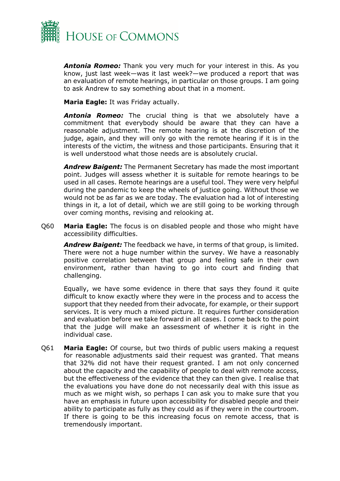

*Antonia Romeo:* Thank you very much for your interest in this. As you know, just last week—was it last week?—we produced a report that was an evaluation of remote hearings, in particular on those groups. I am going to ask Andrew to say something about that in a moment.

**Maria Eagle:** It was Friday actually.

*Antonia Romeo:* The crucial thing is that we absolutely have a commitment that everybody should be aware that they can have a reasonable adjustment. The remote hearing is at the discretion of the judge, again, and they will only go with the remote hearing if it is in the interests of the victim, the witness and those participants. Ensuring that it is well understood what those needs are is absolutely crucial.

*Andrew Baigent:* The Permanent Secretary has made the most important point. Judges will assess whether it is suitable for remote hearings to be used in all cases. Remote hearings are a useful tool. They were very helpful during the pandemic to keep the wheels of justice going. Without those we would not be as far as we are today. The evaluation had a lot of interesting things in it, a lot of detail, which we are still going to be working through over coming months, revising and relooking at.

Q60 **Maria Eagle:** The focus is on disabled people and those who might have accessibility difficulties.

*Andrew Baigent:* The feedback we have, in terms of that group, is limited. There were not a huge number within the survey. We have a reasonably positive correlation between that group and feeling safe in their own environment, rather than having to go into court and finding that challenging.

Equally, we have some evidence in there that says they found it quite difficult to know exactly where they were in the process and to access the support that they needed from their advocate, for example, or their support services. It is very much a mixed picture. It requires further consideration and evaluation before we take forward in all cases. I come back to the point that the judge will make an assessment of whether it is right in the individual case.

Q61 **Maria Eagle:** Of course, but two thirds of public users making a request for reasonable adjustments said their request was granted. That means that 32% did not have their request granted. I am not only concerned about the capacity and the capability of people to deal with remote access, but the effectiveness of the evidence that they can then give. I realise that the evaluations you have done do not necessarily deal with this issue as much as we might wish, so perhaps I can ask you to make sure that you have an emphasis in future upon accessibility for disabled people and their ability to participate as fully as they could as if they were in the courtroom. If there is going to be this increasing focus on remote access, that is tremendously important.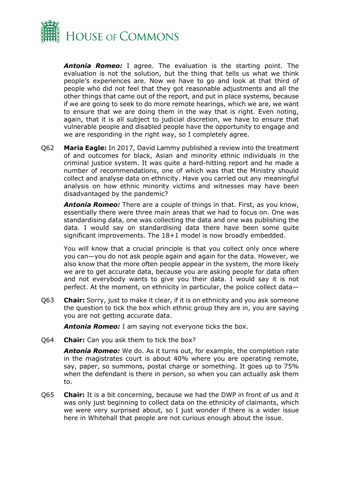

*Antonia Romeo:* I agree. The evaluation is the starting point. The evaluation is not the solution, but the thing that tells us what we think people's experiences are. Now we have to go and look at that third of people who did not feel that they got reasonable adjustments and all the other things that came out of the report, and put in place systems, because if we are going to seek to do more remote hearings, which we are, we want to ensure that we are doing them in the way that is right. Even noting, again, that it is all subject to judicial discretion, we have to ensure that vulnerable people and disabled people have the opportunity to engage and we are responding in the right way, so I completely agree.

Q62 **Maria Eagle:** In 2017, David Lammy published a review into the treatment of and outcomes for black, Asian and minority ethnic individuals in the criminal justice system. It was quite a hard-hitting report and he made a number of recommendations, one of which was that the Ministry should collect and analyse data on ethnicity. Have you carried out any meaningful analysis on how ethnic minority victims and witnesses may have been disadvantaged by the pandemic?

*Antonia Romeo:* There are a couple of things in that. First, as you know, essentially there were three main areas that we had to focus on. One was standardising data, one was collecting the data and one was publishing the data. I would say on standardising data there have been some quite significant improvements. The 18+1 model is now broadly embedded.

You will know that a crucial principle is that you collect only once where you can—you do not ask people again and again for the data. However, we also know that the more often people appear in the system, the more likely we are to get accurate data, because you are asking people for data often and not everybody wants to give you their data. I would say it is not perfect. At the moment, on ethnicity in particular, the police collect data—

Q63 **Chair:** Sorry, just to make it clear, if it is on ethnicity and you ask someone the question to tick the box which ethnic group they are in, you are saying you are not getting accurate data.

*Antonia Romeo:* I am saying not everyone ticks the box.

Q64 **Chair:** Can you ask them to tick the box?

*Antonia Romeo:* We do. As it turns out, for example, the completion rate in the magistrates court is about 40% where you are operating remote, say, paper, so summons, postal charge or something. It goes up to 75% when the defendant is there in person, so when you can actually ask them to.

Q65 **Chair:** It is a bit concerning, because we had the DWP in front of us and it was only just beginning to collect data on the ethnicity of claimants, which we were very surprised about, so I just wonder if there is a wider issue here in Whitehall that people are not curious enough about the issue.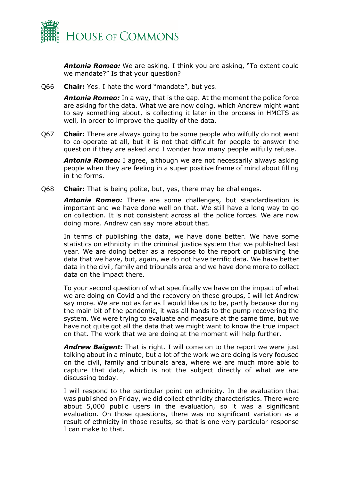

*Antonia Romeo:* We are asking. I think you are asking, "To extent could we mandate?" Is that your question?

Q66 **Chair:** Yes. I hate the word "mandate", but yes.

*Antonia Romeo:* In a way, that is the gap. At the moment the police force are asking for the data. What we are now doing, which Andrew might want to say something about, is collecting it later in the process in HMCTS as well, in order to improve the quality of the data.

Q67 **Chair:** There are always going to be some people who wilfully do not want to co-operate at all, but it is not that difficult for people to answer the question if they are asked and I wonder how many people wilfully refuse.

*Antonia Romeo:* I agree, although we are not necessarily always asking people when they are feeling in a super positive frame of mind about filling in the forms.

Q68 **Chair:** That is being polite, but, yes, there may be challenges.

*Antonia Romeo:* There are some challenges, but standardisation is important and we have done well on that. We still have a long way to go on collection. It is not consistent across all the police forces. We are now doing more. Andrew can say more about that.

In terms of publishing the data, we have done better. We have some statistics on ethnicity in the criminal justice system that we published last year. We are doing better as a response to the report on publishing the data that we have, but, again, we do not have terrific data. We have better data in the civil, family and tribunals area and we have done more to collect data on the impact there.

To your second question of what specifically we have on the impact of what we are doing on Covid and the recovery on these groups, I will let Andrew say more. We are not as far as I would like us to be, partly because during the main bit of the pandemic, it was all hands to the pump recovering the system. We were trying to evaluate and measure at the same time, but we have not quite got all the data that we might want to know the true impact on that. The work that we are doing at the moment will help further.

*Andrew Baigent:* That is right. I will come on to the report we were just talking about in a minute, but a lot of the work we are doing is very focused on the civil, family and tribunals area, where we are much more able to capture that data, which is not the subject directly of what we are discussing today.

I will respond to the particular point on ethnicity. In the evaluation that was published on Friday, we did collect ethnicity characteristics. There were about 5,000 public users in the evaluation, so it was a significant evaluation. On those questions, there was no significant variation as a result of ethnicity in those results, so that is one very particular response I can make to that.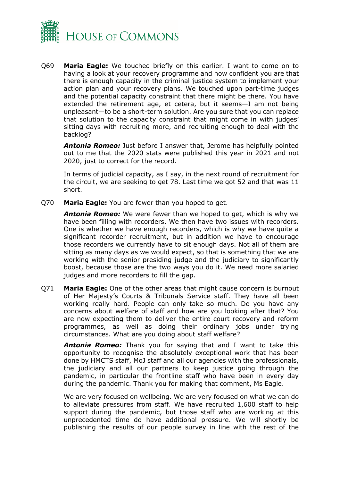

Q69 **Maria Eagle:** We touched briefly on this earlier. I want to come on to having a look at your recovery programme and how confident you are that there is enough capacity in the criminal justice system to implement your action plan and your recovery plans. We touched upon part-time judges and the potential capacity constraint that there might be there. You have extended the retirement age, et cetera, but it seems—I am not being unpleasant—to be a short-term solution. Are you sure that you can replace that solution to the capacity constraint that might come in with judges' sitting days with recruiting more, and recruiting enough to deal with the backlog?

*Antonia Romeo:* Just before I answer that, Jerome has helpfully pointed out to me that the 2020 stats were published this year in 2021 and not 2020, just to correct for the record.

In terms of judicial capacity, as I say, in the next round of recruitment for the circuit, we are seeking to get 78. Last time we got 52 and that was 11 short.

Q70 **Maria Eagle:** You are fewer than you hoped to get.

*Antonia Romeo:* We were fewer than we hoped to get, which is why we have been filling with recorders. We then have two issues with recorders. One is whether we have enough recorders, which is why we have quite a significant recorder recruitment, but in addition we have to encourage those recorders we currently have to sit enough days. Not all of them are sitting as many days as we would expect, so that is something that we are working with the senior presiding judge and the judiciary to significantly boost, because those are the two ways you do it. We need more salaried judges and more recorders to fill the gap.

Q71 **Maria Eagle:** One of the other areas that might cause concern is burnout of Her Majesty's Courts & Tribunals Service staff. They have all been working really hard. People can only take so much. Do you have any concerns about welfare of staff and how are you looking after that? You are now expecting them to deliver the entire court recovery and reform programmes, as well as doing their ordinary jobs under trying circumstances. What are you doing about staff welfare?

*Antonia Romeo:* Thank you for saying that and I want to take this opportunity to recognise the absolutely exceptional work that has been done by HMCTS staff, MoJ staff and all our agencies with the professionals, the judiciary and all our partners to keep justice going through the pandemic, in particular the frontline staff who have been in every day during the pandemic. Thank you for making that comment, Ms Eagle.

We are very focused on wellbeing. We are very focused on what we can do to alleviate pressures from staff. We have recruited 1,600 staff to help support during the pandemic, but those staff who are working at this unprecedented time do have additional pressure. We will shortly be publishing the results of our people survey in line with the rest of the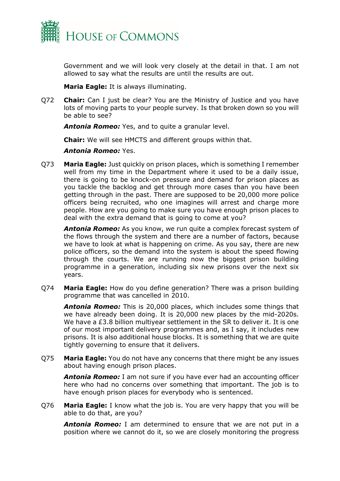

Government and we will look very closely at the detail in that. I am not allowed to say what the results are until the results are out.

**Maria Eagle:** It is always illuminating.

Q72 **Chair:** Can I just be clear? You are the Ministry of Justice and you have lots of moving parts to your people survey. Is that broken down so you will be able to see?

*Antonia Romeo:* Yes, and to quite a granular level.

**Chair:** We will see HMCTS and different groups within that.

*Antonia Romeo:* Yes.

Q73 **Maria Eagle:** Just quickly on prison places, which is something I remember well from my time in the Department where it used to be a daily issue, there is going to be knock-on pressure and demand for prison places as you tackle the backlog and get through more cases than you have been getting through in the past. There are supposed to be 20,000 more police officers being recruited, who one imagines will arrest and charge more people. How are you going to make sure you have enough prison places to deal with the extra demand that is going to come at you?

*Antonia Romeo:* As you know, we run quite a complex forecast system of the flows through the system and there are a number of factors, because we have to look at what is happening on crime. As you say, there are new police officers, so the demand into the system is about the speed flowing through the courts. We are running now the biggest prison building programme in a generation, including six new prisons over the next six years.

Q74 **Maria Eagle:** How do you define generation? There was a prison building programme that was cancelled in 2010.

*Antonia Romeo:* This is 20,000 places, which includes some things that we have already been doing. It is 20,000 new places by the mid-2020s. We have a £3.8 billion multiyear settlement in the SR to deliver it. It is one of our most important delivery programmes and, as I say, it includes new prisons. It is also additional house blocks. It is something that we are quite tightly governing to ensure that it delivers.

Q75 **Maria Eagle:** You do not have any concerns that there might be any issues about having enough prison places.

*Antonia Romeo:* I am not sure if you have ever had an accounting officer here who had no concerns over something that important. The job is to have enough prison places for everybody who is sentenced.

Q76 **Maria Eagle:** I know what the job is. You are very happy that you will be able to do that, are you?

*Antonia Romeo:* I am determined to ensure that we are not put in a position where we cannot do it, so we are closely monitoring the progress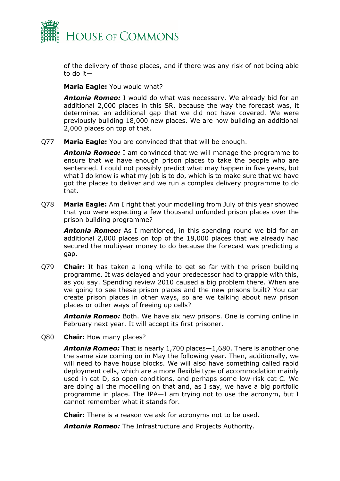

of the delivery of those places, and if there was any risk of not being able to do it—

**Maria Eagle:** You would what?

*Antonia Romeo:* I would do what was necessary. We already bid for an additional 2,000 places in this SR, because the way the forecast was, it determined an additional gap that we did not have covered. We were previously building 18,000 new places. We are now building an additional 2,000 places on top of that.

Q77 **Maria Eagle:** You are convinced that that will be enough.

*Antonia Romeo:* I am convinced that we will manage the programme to ensure that we have enough prison places to take the people who are sentenced. I could not possibly predict what may happen in five years, but what I do know is what my job is to do, which is to make sure that we have got the places to deliver and we run a complex delivery programme to do that.

Q78 **Maria Eagle:** Am I right that your modelling from July of this year showed that you were expecting a few thousand unfunded prison places over the prison building programme?

*Antonia Romeo:* As I mentioned, in this spending round we bid for an additional 2,000 places on top of the 18,000 places that we already had secured the multiyear money to do because the forecast was predicting a gap.

Q79 **Chair:** It has taken a long while to get so far with the prison building programme. It was delayed and your predecessor had to grapple with this, as you say. Spending review 2010 caused a big problem there. When are we going to see these prison places and the new prisons built? You can create prison places in other ways, so are we talking about new prison places or other ways of freeing up cells?

*Antonia Romeo:* Both. We have six new prisons. One is coming online in February next year. It will accept its first prisoner.

Q80 **Chair:** How many places?

*Antonia Romeo:* That is nearly 1,700 places—1,680. There is another one the same size coming on in May the following year. Then, additionally, we will need to have house blocks. We will also have something called rapid deployment cells, which are a more flexible type of accommodation mainly used in cat D, so open conditions, and perhaps some low-risk cat C. We are doing all the modelling on that and, as I say, we have a big portfolio programme in place. The IPA—I am trying not to use the acronym, but I cannot remember what it stands for.

**Chair:** There is a reason we ask for acronyms not to be used.

*Antonia Romeo:* The Infrastructure and Projects Authority.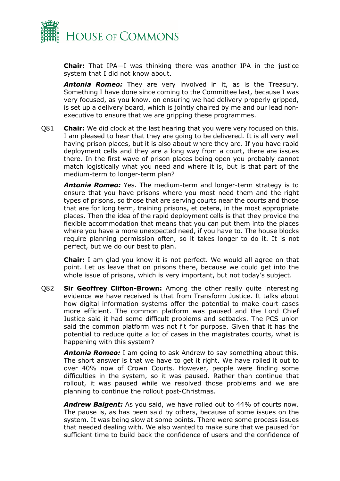

**Chair:** That IPA—I was thinking there was another IPA in the justice system that I did not know about.

*Antonia Romeo:* They are very involved in it, as is the Treasury. Something I have done since coming to the Committee last, because I was very focused, as you know, on ensuring we had delivery properly gripped, is set up a delivery board, which is jointly chaired by me and our lead nonexecutive to ensure that we are gripping these programmes.

Q81 **Chair:** We did clock at the last hearing that you were very focused on this. I am pleased to hear that they are going to be delivered. It is all very well having prison places, but it is also about where they are. If you have rapid deployment cells and they are a long way from a court, there are issues there. In the first wave of prison places being open you probably cannot match logistically what you need and where it is, but is that part of the medium-term to longer-term plan?

*Antonia Romeo:* Yes. The medium-term and longer-term strategy is to ensure that you have prisons where you most need them and the right types of prisons, so those that are serving courts near the courts and those that are for long term, training prisons, et cetera, in the most appropriate places. Then the idea of the rapid deployment cells is that they provide the flexible accommodation that means that you can put them into the places where you have a more unexpected need, if you have to. The house blocks require planning permission often, so it takes longer to do it. It is not perfect, but we do our best to plan.

**Chair:** I am glad you know it is not perfect. We would all agree on that point. Let us leave that on prisons there, because we could get into the whole issue of prisons, which is very important, but not today's subject.

Q82 **Sir Geoffrey Clifton-Brown:** Among the other really quite interesting evidence we have received is that from Transform Justice. It talks about how digital information systems offer the potential to make court cases more efficient. The common platform was paused and the Lord Chief Justice said it had some difficult problems and setbacks. The PCS union said the common platform was not fit for purpose. Given that it has the potential to reduce quite a lot of cases in the magistrates courts, what is happening with this system?

*Antonia Romeo:* I am going to ask Andrew to say something about this. The short answer is that we have to get it right. We have rolled it out to over 40% now of Crown Courts. However, people were finding some difficulties in the system, so it was paused. Rather than continue that rollout, it was paused while we resolved those problems and we are planning to continue the rollout post-Christmas.

*Andrew Baigent:* As you said, we have rolled out to 44% of courts now. The pause is, as has been said by others, because of some issues on the system. It was being slow at some points. There were some process issues that needed dealing with. We also wanted to make sure that we paused for sufficient time to build back the confidence of users and the confidence of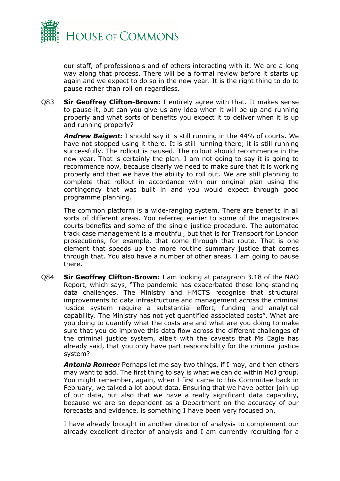

our staff, of professionals and of others interacting with it. We are a long way along that process. There will be a formal review before it starts up again and we expect to do so in the new year. It is the right thing to do to pause rather than roll on regardless.

Q83 **Sir Geoffrey Clifton-Brown:** I entirely agree with that. It makes sense to pause it, but can you give us any idea when it will be up and running properly and what sorts of benefits you expect it to deliver when it is up and running properly?

*Andrew Baigent:* I should say it is still running in the 44% of courts. We have not stopped using it there. It is still running there; it is still running successfully. The rollout is paused. The rollout should recommence in the new year. That is certainly the plan. I am not going to say it is going to recommence now, because clearly we need to make sure that it is working properly and that we have the ability to roll out. We are still planning to complete that rollout in accordance with our original plan using the contingency that was built in and you would expect through good programme planning.

The common platform is a wide-ranging system. There are benefits in all sorts of different areas. You referred earlier to some of the magistrates courts benefits and some of the single justice procedure. The automated track case management is a mouthful, but that is for Transport for London prosecutions, for example, that come through that route. That is one element that speeds up the more routine summary justice that comes through that. You also have a number of other areas. I am going to pause there.

Q84 **Sir Geoffrey Clifton-Brown:** I am looking at paragraph 3.18 of the NAO Report, which says, "The pandemic has exacerbated these long-standing data challenges. The Ministry and HMCTS recognise that structural improvements to data infrastructure and management across the criminal justice system require a substantial effort, funding and analytical capability. The Ministry has not yet quantified associated costs". What are you doing to quantify what the costs are and what are you doing to make sure that you do improve this data flow across the different challenges of the criminal justice system, albeit with the caveats that Ms Eagle has already said, that you only have part responsibility for the criminal justice system?

*Antonia Romeo:* Perhaps let me say two things, if I may, and then others may want to add. The first thing to say is what we can do within MoJ group. You might remember, again, when I first came to this Committee back in February, we talked a lot about data. Ensuring that we have better join-up of our data, but also that we have a really significant data capability, because we are so dependent as a Department on the accuracy of our forecasts and evidence, is something I have been very focused on.

I have already brought in another director of analysis to complement our already excellent director of analysis and I am currently recruiting for a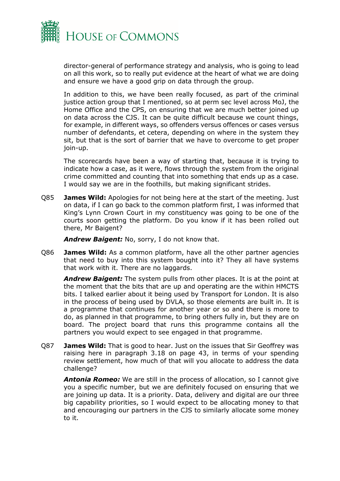

director-general of performance strategy and analysis, who is going to lead on all this work, so to really put evidence at the heart of what we are doing and ensure we have a good grip on data through the group.

In addition to this, we have been really focused, as part of the criminal justice action group that I mentioned, so at perm sec level across MoJ, the Home Office and the CPS, on ensuring that we are much better joined up on data across the CJS. It can be quite difficult because we count things, for example, in different ways, so offenders versus offences or cases versus number of defendants, et cetera, depending on where in the system they sit, but that is the sort of barrier that we have to overcome to get proper join-up.

The scorecards have been a way of starting that, because it is trying to indicate how a case, as it were, flows through the system from the original crime committed and counting that into something that ends up as a case. I would say we are in the foothills, but making significant strides.

Q85 **James Wild:** Apologies for not being here at the start of the meeting. Just on data, if I can go back to the common platform first, I was informed that King's Lynn Crown Court in my constituency was going to be one of the courts soon getting the platform. Do you know if it has been rolled out there, Mr Baigent?

*Andrew Baigent:* No, sorry, I do not know that.

Q86 **James Wild:** As a common platform, have all the other partner agencies that need to buy into this system bought into it? They all have systems that work with it. There are no laggards.

*Andrew Baigent:* The system pulls from other places. It is at the point at the moment that the bits that are up and operating are the within HMCTS bits. I talked earlier about it being used by Transport for London. It is also in the process of being used by DVLA, so those elements are built in. It is a programme that continues for another year or so and there is more to do, as planned in that programme, to bring others fully in, but they are on board. The project board that runs this programme contains all the partners you would expect to see engaged in that programme.

Q87 **James Wild:** That is good to hear. Just on the issues that Sir Geoffrey was raising here in paragraph 3.18 on page 43, in terms of your spending review settlement, how much of that will you allocate to address the data challenge?

*Antonia Romeo:* We are still in the process of allocation, so I cannot give you a specific number, but we are definitely focused on ensuring that we are joining up data. It is a priority. Data, delivery and digital are our three big capability priorities, so I would expect to be allocating money to that and encouraging our partners in the CJS to similarly allocate some money to it.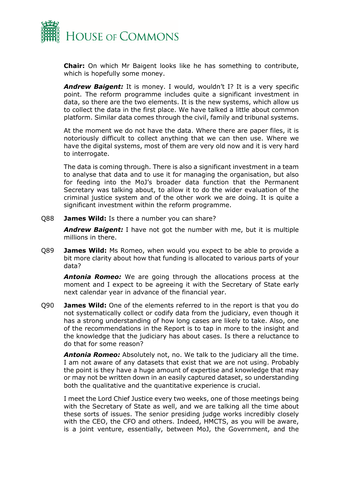

**Chair:** On which Mr Baigent looks like he has something to contribute, which is hopefully some money.

*Andrew Baigent:* It is money. I would, wouldn't I? It is a very specific point. The reform programme includes quite a significant investment in data, so there are the two elements. It is the new systems, which allow us to collect the data in the first place. We have talked a little about common platform. Similar data comes through the civil, family and tribunal systems.

At the moment we do not have the data. Where there are paper files, it is notoriously difficult to collect anything that we can then use. Where we have the digital systems, most of them are very old now and it is very hard to interrogate.

The data is coming through. There is also a significant investment in a team to analyse that data and to use it for managing the organisation, but also for feeding into the MoJ's broader data function that the Permanent Secretary was talking about, to allow it to do the wider evaluation of the criminal justice system and of the other work we are doing. It is quite a significant investment within the reform programme.

Q88 **James Wild:** Is there a number you can share?

*Andrew Baigent:* I have not got the number with me, but it is multiple millions in there.

Q89 **James Wild:** Ms Romeo, when would you expect to be able to provide a bit more clarity about how that funding is allocated to various parts of your data?

*Antonia Romeo:* We are going through the allocations process at the moment and I expect to be agreeing it with the Secretary of State early next calendar year in advance of the financial year.

Q90 **James Wild:** One of the elements referred to in the report is that you do not systematically collect or codify data from the judiciary, even though it has a strong understanding of how long cases are likely to take. Also, one of the recommendations in the Report is to tap in more to the insight and the knowledge that the judiciary has about cases. Is there a reluctance to do that for some reason?

*Antonia Romeo:* Absolutely not, no. We talk to the judiciary all the time. I am not aware of any datasets that exist that we are not using. Probably the point is they have a huge amount of expertise and knowledge that may or may not be written down in an easily captured dataset, so understanding both the qualitative and the quantitative experience is crucial.

I meet the Lord Chief Justice every two weeks, one of those meetings being with the Secretary of State as well, and we are talking all the time about these sorts of issues. The senior presiding judge works incredibly closely with the CEO, the CFO and others. Indeed, HMCTS, as you will be aware, is a joint venture, essentially, between MoJ, the Government, and the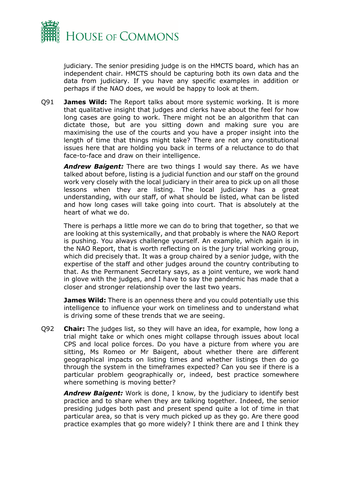

judiciary. The senior presiding judge is on the HMCTS board, which has an independent chair. HMCTS should be capturing both its own data and the data from judiciary. If you have any specific examples in addition or perhaps if the NAO does, we would be happy to look at them.

Q91 **James Wild:** The Report talks about more systemic working. It is more that qualitative insight that judges and clerks have about the feel for how long cases are going to work. There might not be an algorithm that can dictate those, but are you sitting down and making sure you are maximising the use of the courts and you have a proper insight into the length of time that things might take? There are not any constitutional issues here that are holding you back in terms of a reluctance to do that face-to-face and draw on their intelligence.

*Andrew Baigent:* There are two things I would say there. As we have talked about before, listing is a judicial function and our staff on the ground work very closely with the local judiciary in their area to pick up on all those lessons when they are listing. The local judiciary has a great understanding, with our staff, of what should be listed, what can be listed and how long cases will take going into court. That is absolutely at the heart of what we do.

There is perhaps a little more we can do to bring that together, so that we are looking at this systemically, and that probably is where the NAO Report is pushing. You always challenge yourself. An example, which again is in the NAO Report, that is worth reflecting on is the jury trial working group, which did precisely that. It was a group chaired by a senior judge, with the expertise of the staff and other judges around the country contributing to that. As the Permanent Secretary says, as a joint venture, we work hand in glove with the judges, and I have to say the pandemic has made that a closer and stronger relationship over the last two years.

**James Wild:** There is an openness there and you could potentially use this intelligence to influence your work on timeliness and to understand what is driving some of these trends that we are seeing.

Q92 **Chair:** The judges list, so they will have an idea, for example, how long a trial might take or which ones might collapse through issues about local CPS and local police forces. Do you have a picture from where you are sitting, Ms Romeo or Mr Baigent, about whether there are different geographical impacts on listing times and whether listings then do go through the system in the timeframes expected? Can you see if there is a particular problem geographically or, indeed, best practice somewhere where something is moving better?

*Andrew Baigent:* Work is done, I know, by the judiciary to identify best practice and to share when they are talking together. Indeed, the senior presiding judges both past and present spend quite a lot of time in that particular area, so that is very much picked up as they go. Are there good practice examples that go more widely? I think there are and I think they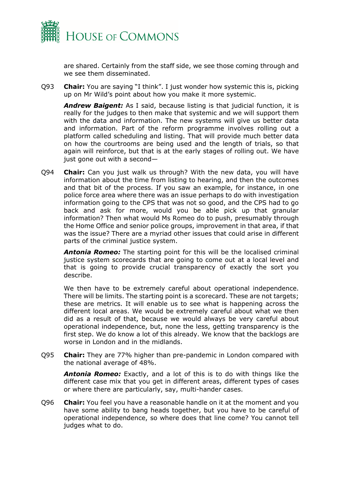

are shared. Certainly from the staff side, we see those coming through and we see them disseminated.

Q93 **Chair:** You are saying "I think". I just wonder how systemic this is, picking up on Mr Wild's point about how you make it more systemic.

*Andrew Baigent:* As I said, because listing is that judicial function, it is really for the judges to then make that systemic and we will support them with the data and information. The new systems will give us better data and information. Part of the reform programme involves rolling out a platform called scheduling and listing. That will provide much better data on how the courtrooms are being used and the length of trials, so that again will reinforce, but that is at the early stages of rolling out. We have just gone out with a second—

Q94 **Chair:** Can you just walk us through? With the new data, you will have information about the time from listing to hearing, and then the outcomes and that bit of the process. If you saw an example, for instance, in one police force area where there was an issue perhaps to do with investigation information going to the CPS that was not so good, and the CPS had to go back and ask for more, would you be able pick up that granular information? Then what would Ms Romeo do to push, presumably through the Home Office and senior police groups, improvement in that area, if that was the issue? There are a myriad other issues that could arise in different parts of the criminal justice system.

*Antonia Romeo:* The starting point for this will be the localised criminal justice system scorecards that are going to come out at a local level and that is going to provide crucial transparency of exactly the sort you describe.

We then have to be extremely careful about operational independence. There will be limits. The starting point is a scorecard. These are not targets; these are metrics. It will enable us to see what is happening across the different local areas. We would be extremely careful about what we then did as a result of that, because we would always be very careful about operational independence, but, none the less, getting transparency is the first step. We do know a lot of this already. We know that the backlogs are worse in London and in the midlands.

Q95 **Chair:** They are 77% higher than pre-pandemic in London compared with the national average of 48%.

*Antonia Romeo:* Exactly, and a lot of this is to do with things like the different case mix that you get in different areas, different types of cases or where there are particularly, say, multi-hander cases.

Q96 **Chair:** You feel you have a reasonable handle on it at the moment and you have some ability to bang heads together, but you have to be careful of operational independence, so where does that line come? You cannot tell judges what to do.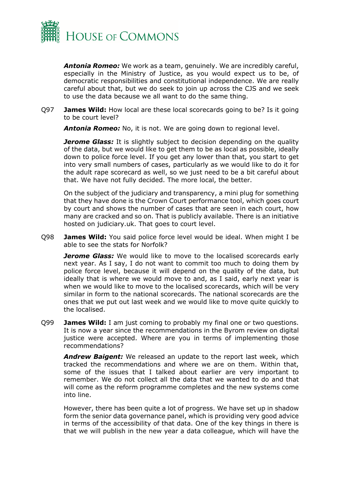

*Antonia Romeo:* We work as a team, genuinely. We are incredibly careful, especially in the Ministry of Justice, as you would expect us to be, of democratic responsibilities and constitutional independence. We are really careful about that, but we do seek to join up across the CJS and we seek to use the data because we all want to do the same thing.

Q97 **James Wild:** How local are these local scorecards going to be? Is it going to be court level?

*Antonia Romeo:* No, it is not. We are going down to regional level.

*Jerome Glass:* It is slightly subject to decision depending on the quality of the data, but we would like to get them to be as local as possible, ideally down to police force level. If you get any lower than that, you start to get into very small numbers of cases, particularly as we would like to do it for the adult rape scorecard as well, so we just need to be a bit careful about that. We have not fully decided. The more local, the better.

On the subject of the judiciary and transparency, a mini plug for something that they have done is the Crown Court performance tool, which goes court by court and shows the number of cases that are seen in each court, how many are cracked and so on. That is publicly available. There is an initiative hosted on judiciary.uk. That goes to court level.

Q98 **James Wild:** You said police force level would be ideal. When might I be able to see the stats for Norfolk?

*Jerome Glass:* We would like to move to the localised scorecards early next year. As I say, I do not want to commit too much to doing them by police force level, because it will depend on the quality of the data, but ideally that is where we would move to and, as I said, early next year is when we would like to move to the localised scorecards, which will be very similar in form to the national scorecards. The national scorecards are the ones that we put out last week and we would like to move quite quickly to the localised.

Q99 **James Wild:** I am just coming to probably my final one or two questions. It is now a year since the recommendations in the Byrom review on digital justice were accepted. Where are you in terms of implementing those recommendations?

*Andrew Baigent:* We released an update to the report last week, which tracked the recommendations and where we are on them. Within that, some of the issues that I talked about earlier are very important to remember. We do not collect all the data that we wanted to do and that will come as the reform programme completes and the new systems come into line.

However, there has been quite a lot of progress. We have set up in shadow form the senior data governance panel, which is providing very good advice in terms of the accessibility of that data. One of the key things in there is that we will publish in the new year a data colleague, which will have the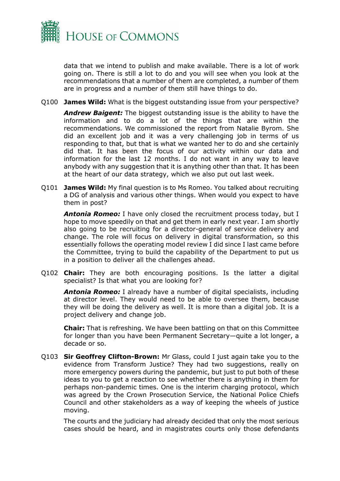

data that we intend to publish and make available. There is a lot of work going on. There is still a lot to do and you will see when you look at the recommendations that a number of them are completed, a number of them are in progress and a number of them still have things to do.

Q100 **James Wild:** What is the biggest outstanding issue from your perspective?

*Andrew Baigent:* The biggest outstanding issue is the ability to have the information and to do a lot of the things that are within the recommendations. We commissioned the report from Natalie Byrom. She did an excellent job and it was a very challenging job in terms of us responding to that, but that is what we wanted her to do and she certainly did that. It has been the focus of our activity within our data and information for the last 12 months. I do not want in any way to leave anybody with any suggestion that it is anything other than that. It has been at the heart of our data strategy, which we also put out last week.

Q101 **James Wild:** My final question is to Ms Romeo. You talked about recruiting a DG of analysis and various other things. When would you expect to have them in post?

*Antonia Romeo:* I have only closed the recruitment process today, but I hope to move speedily on that and get them in early next year. I am shortly also going to be recruiting for a director-general of service delivery and change. The role will focus on delivery in digital transformation, so this essentially follows the operating model review I did since I last came before the Committee, trying to build the capability of the Department to put us in a position to deliver all the challenges ahead.

Q102 **Chair:** They are both encouraging positions. Is the latter a digital specialist? Is that what you are looking for?

*Antonia Romeo:* I already have a number of digital specialists, including at director level. They would need to be able to oversee them, because they will be doing the delivery as well. It is more than a digital job. It is a project delivery and change job.

**Chair:** That is refreshing. We have been battling on that on this Committee for longer than you have been Permanent Secretary—quite a lot longer, a decade or so.

Q103 **Sir Geoffrey Clifton-Brown:** Mr Glass, could I just again take you to the evidence from Transform Justice? They had two suggestions, really on more emergency powers during the pandemic, but just to put both of these ideas to you to get a reaction to see whether there is anything in them for perhaps non-pandemic times. One is the interim charging protocol, which was agreed by the Crown Prosecution Service, the National Police Chiefs Council and other stakeholders as a way of keeping the wheels of justice moving.

The courts and the judiciary had already decided that only the most serious cases should be heard, and in magistrates courts only those defendants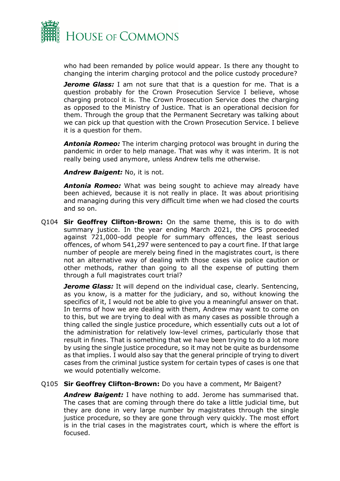

who had been remanded by police would appear. Is there any thought to changing the interim charging protocol and the police custody procedure?

*Jerome Glass:* I am not sure that that is a question for me. That is a question probably for the Crown Prosecution Service I believe, whose charging protocol it is. The Crown Prosecution Service does the charging as opposed to the Ministry of Justice. That is an operational decision for them. Through the group that the Permanent Secretary was talking about we can pick up that question with the Crown Prosecution Service. I believe it is a question for them.

*Antonia Romeo:* The interim charging protocol was brought in during the pandemic in order to help manage. That was why it was interim. It is not really being used anymore, unless Andrew tells me otherwise.

*Andrew Baigent:* No, it is not.

*Antonia Romeo:* What was being sought to achieve may already have been achieved, because it is not really in place. It was about prioritising and managing during this very difficult time when we had closed the courts and so on.

Q104 **Sir Geoffrey Clifton-Brown:** On the same theme, this is to do with summary justice. In the year ending March 2021, the CPS proceeded against 721,000-odd people for summary offences, the least serious offences, of whom 541,297 were sentenced to pay a court fine. If that large number of people are merely being fined in the magistrates court, is there not an alternative way of dealing with those cases via police caution or other methods, rather than going to all the expense of putting them through a full magistrates court trial?

*Jerome Glass:* It will depend on the individual case, clearly. Sentencing, as you know, is a matter for the judiciary, and so, without knowing the specifics of it, I would not be able to give you a meaningful answer on that. In terms of how we are dealing with them, Andrew may want to come on to this, but we are trying to deal with as many cases as possible through a thing called the single justice procedure, which essentially cuts out a lot of the administration for relatively low-level crimes, particularly those that result in fines. That is something that we have been trying to do a lot more by using the single justice procedure, so it may not be quite as burdensome as that implies. I would also say that the general principle of trying to divert cases from the criminal justice system for certain types of cases is one that we would potentially welcome.

#### Q105 **Sir Geoffrey Clifton-Brown:** Do you have a comment, Mr Baigent?

*Andrew Baigent:* I have nothing to add. Jerome has summarised that. The cases that are coming through there do take a little judicial time, but they are done in very large number by magistrates through the single justice procedure, so they are gone through very quickly. The most effort is in the trial cases in the magistrates court, which is where the effort is focused.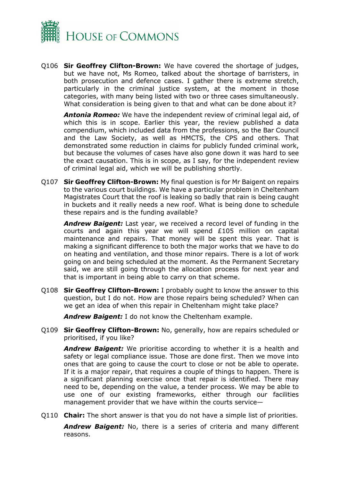

Q106 **Sir Geoffrey Clifton-Brown:** We have covered the shortage of judges, but we have not, Ms Romeo, talked about the shortage of barristers, in both prosecution and defence cases. I gather there is extreme stretch, particularly in the criminal justice system, at the moment in those categories, with many being listed with two or three cases simultaneously. What consideration is being given to that and what can be done about it?

*Antonia Romeo:* We have the independent review of criminal legal aid, of which this is in scope. Earlier this year, the review published a data compendium, which included data from the professions, so the Bar Council and the Law Society, as well as HMCTS, the CPS and others. That demonstrated some reduction in claims for publicly funded criminal work, but because the volumes of cases have also gone down it was hard to see the exact causation. This is in scope, as I say, for the independent review of criminal legal aid, which we will be publishing shortly.

Q107 **Sir Geoffrey Clifton-Brown:** My final question is for Mr Baigent on repairs to the various court buildings. We have a particular problem in Cheltenham Magistrates Court that the roof is leaking so badly that rain is being caught in buckets and it really needs a new roof. What is being done to schedule these repairs and is the funding available?

*Andrew Baigent:* Last year, we received a record level of funding in the courts and again this year we will spend £105 million on capital maintenance and repairs. That money will be spent this year. That is making a significant difference to both the major works that we have to do on heating and ventilation, and those minor repairs. There is a lot of work going on and being scheduled at the moment. As the Permanent Secretary said, we are still going through the allocation process for next year and that is important in being able to carry on that scheme.

Q108 **Sir Geoffrey Clifton-Brown:** I probably ought to know the answer to this question, but I do not. How are those repairs being scheduled? When can we get an idea of when this repair in Cheltenham might take place?

*Andrew Baigent:* I do not know the Cheltenham example.

Q109 **Sir Geoffrey Clifton-Brown:** No, generally, how are repairs scheduled or prioritised, if you like?

*Andrew Baigent:* We prioritise according to whether it is a health and safety or legal compliance issue. Those are done first. Then we move into ones that are going to cause the court to close or not be able to operate. If it is a major repair, that requires a couple of things to happen. There is a significant planning exercise once that repair is identified. There may need to be, depending on the value, a tender process. We may be able to use one of our existing frameworks, either through our facilities management provider that we have within the courts service—

Q110 **Chair:** The short answer is that you do not have a simple list of priorities.

*Andrew Baigent:* No, there is a series of criteria and many different reasons.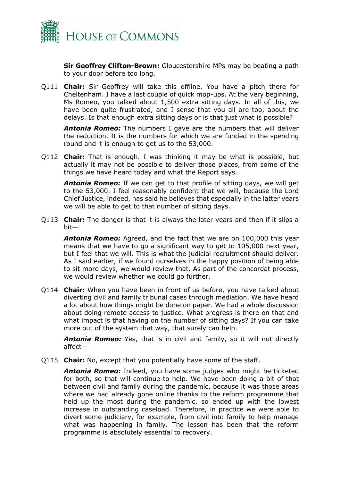

**Sir Geoffrey Clifton-Brown:** Gloucestershire MPs may be beating a path to your door before too long.

Q111 **Chair:** Sir Geoffrey will take this offline. You have a pitch there for Cheltenham. I have a last couple of quick mop-ups. At the very beginning, Ms Romeo, you talked about 1,500 extra sitting days. In all of this, we have been quite frustrated, and I sense that you all are too, about the delays. Is that enough extra sitting days or is that just what is possible?

*Antonia Romeo:* The numbers I gave are the numbers that will deliver the reduction. It is the numbers for which we are funded in the spending round and it is enough to get us to the 53,000.

Q112 **Chair:** That is enough. I was thinking it may be what is possible, but actually it may not be possible to deliver those places, from some of the things we have heard today and what the Report says.

*Antonia Romeo:* If we can get to that profile of sitting days, we will get to the 53,000. I feel reasonably confident that we will, because the Lord Chief Justice, indeed, has said he believes that especially in the latter years we will be able to get to that number of sitting days.

Q113 **Chair:** The danger is that it is always the later years and then if it slips a bit—

*Antonia Romeo:* Agreed, and the fact that we are on 100,000 this year means that we have to go a significant way to get to 105,000 next year, but I feel that we will. This is what the judicial recruitment should deliver. As I said earlier, if we found ourselves in the happy position of being able to sit more days, we would review that. As part of the concordat process, we would review whether we could go further.

Q114 **Chair:** When you have been in front of us before, you have talked about diverting civil and family tribunal cases through mediation. We have heard a lot about how things might be done on paper. We had a whole discussion about doing remote access to justice. What progress is there on that and what impact is that having on the number of sitting days? If you can take more out of the system that way, that surely can help.

*Antonia Romeo:* Yes, that is in civil and family, so it will not directly affect—

Q115 **Chair:** No, except that you potentially have some of the staff.

*Antonia Romeo:* Indeed, you have some judges who might be ticketed for both, so that will continue to help. We have been doing a bit of that between civil and family during the pandemic, because it was those areas where we had already gone online thanks to the reform programme that held up the most during the pandemic, so ended up with the lowest increase in outstanding caseload. Therefore, in practice we were able to divert some judiciary, for example, from civil into family to help manage what was happening in family. The lesson has been that the reform programme is absolutely essential to recovery.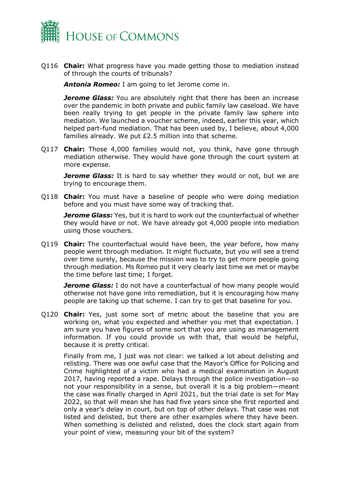

Q116 **Chair:** What progress have you made getting those to mediation instead of through the courts of tribunals?

*Antonia Romeo:* I am going to let Jerome come in.

*Jerome Glass:* You are absolutely right that there has been an increase over the pandemic in both private and public family law caseload. We have been really trying to get people in the private family law sphere into mediation. We launched a voucher scheme, indeed, earlier this year, which helped part-fund mediation. That has been used by, I believe, about 4,000 families already. We put £2.5 million into that scheme.

Q117 **Chair:** Those 4,000 families would not, you think, have gone through mediation otherwise. They would have gone through the court system at more expense.

*Jerome Glass:* It is hard to say whether they would or not, but we are trying to encourage them.

Q118 **Chair:** You must have a baseline of people who were doing mediation before and you must have some way of tracking that.

*Jerome Glass:* Yes, but it is hard to work out the counterfactual of whether they would have or not. We have already got 4,000 people into mediation using those vouchers.

Q119 **Chair:** The counterfactual would have been, the year before, how many people went through mediation. It might fluctuate, but you will see a trend over time surely, because the mission was to try to get more people going through mediation. Ms Romeo put it very clearly last time we met or maybe the time before last time; I forget.

**Jerome Glass:** I do not have a counterfactual of how many people would otherwise not have gone into remediation, but it is encouraging how many people are taking up that scheme. I can try to get that baseline for you.

Q120 **Chair:** Yes, just some sort of metric about the baseline that you are working on, what you expected and whether you met that expectation. I am sure you have figures of some sort that you are using as management information. If you could provide us with that, that would be helpful, because it is pretty critical.

Finally from me, I just was not clear: we talked a lot about delisting and relisting. There was one awful case that the Mayor's Office for Policing and Crime highlighted of a victim who had a medical examination in August 2017, having reported a rape. Delays through the police investigation—so not your responsibility in a sense, but overall it is a big problem—meant the case was finally charged in April 2021, but the trial date is set for May 2022, so that will mean she has had five years since she first reported and only a year's delay in court, but on top of other delays. That case was not listed and delisted, but there are other examples where they have been. When something is delisted and relisted, does the clock start again from your point of view, measuring your bit of the system?